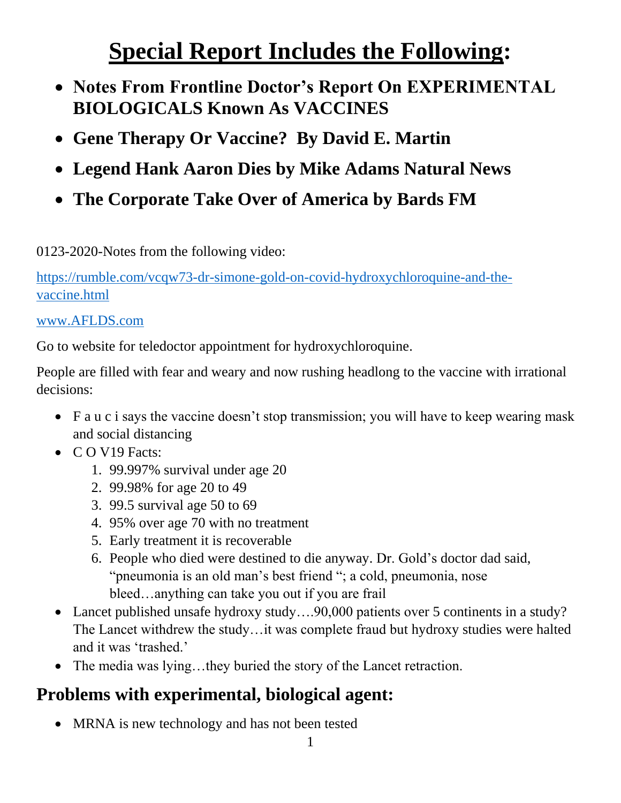## **Special Report Includes the Following:**

- **Notes From Frontline Doctor's Report On EXPERIMENTAL BIOLOGICALS Known As VACCINES**
- **Gene Therapy Or Vaccine? By David E. Martin**
- **Legend Hank Aaron Dies by Mike Adams Natural News**
- **The Corporate Take Over of America by Bards FM**

0123-2020-Notes from the following video:

[https://rumble.com/vcqw73-dr-simone-gold-on-covid-hydroxychloroquine-and-the](https://rumble.com/vcqw73-dr-simone-gold-on-covid-hydroxychloroquine-and-the-vaccine.html)[vaccine.html](https://rumble.com/vcqw73-dr-simone-gold-on-covid-hydroxychloroquine-and-the-vaccine.html)

#### [www.AFLDS.com](http://www.aflds.com/)

Go to website for teledoctor appointment for hydroxychloroquine.

People are filled with fear and weary and now rushing headlong to the vaccine with irrational decisions:

- F a u c i says the vaccine doesn't stop transmission; you will have to keep wearing mask and social distancing
- CO V19 Facts:
	- 1. 99.997% survival under age 20
	- 2. 99.98% for age 20 to 49
	- 3. 99.5 survival age 50 to 69
	- 4. 95% over age 70 with no treatment
	- 5. Early treatment it is recoverable
	- 6. People who died were destined to die anyway. Dr. Gold's doctor dad said, "pneumonia is an old man's best friend "; a cold, pneumonia, nose bleed…anything can take you out if you are frail
- Lancet published unsafe hydroxy study....90,000 patients over 5 continents in a study? The Lancet withdrew the study…it was complete fraud but hydroxy studies were halted and it was 'trashed.'
- The media was lying...they buried the story of the Lancet retraction.

### **Problems with experimental, biological agent:**

• MRNA is new technology and has not been tested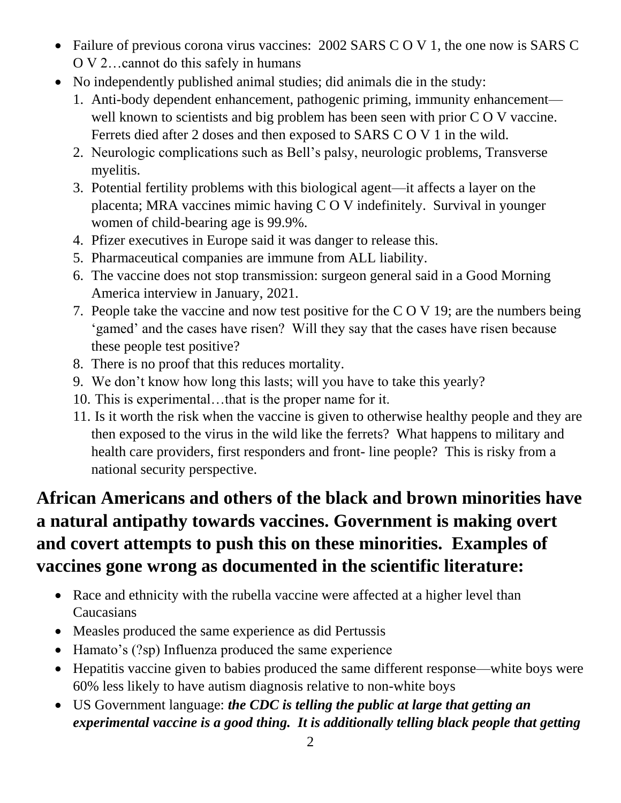- Failure of previous corona virus vaccines: 2002 SARS C O V 1, the one now is SARS C O V 2…cannot do this safely in humans
- No independently published animal studies; did animals die in the study:
	- 1. Anti-body dependent enhancement, pathogenic priming, immunity enhancement well known to scientists and big problem has been seen with prior C O V vaccine. Ferrets died after 2 doses and then exposed to SARS C O V 1 in the wild.
	- 2. Neurologic complications such as Bell's palsy, neurologic problems, Transverse myelitis.
	- 3. Potential fertility problems with this biological agent—it affects a layer on the placenta; MRA vaccines mimic having C O V indefinitely. Survival in younger women of child-bearing age is 99.9%.
	- 4. Pfizer executives in Europe said it was danger to release this.
	- 5. Pharmaceutical companies are immune from ALL liability.
	- 6. The vaccine does not stop transmission: surgeon general said in a Good Morning America interview in January, 2021.
	- 7. People take the vaccine and now test positive for the C O V 19; are the numbers being 'gamed' and the cases have risen? Will they say that the cases have risen because these people test positive?
	- 8. There is no proof that this reduces mortality.
	- 9. We don't know how long this lasts; will you have to take this yearly?
	- 10. This is experimental…that is the proper name for it.
	- 11. Is it worth the risk when the vaccine is given to otherwise healthy people and they are then exposed to the virus in the wild like the ferrets? What happens to military and health care providers, first responders and front- line people? This is risky from a national security perspective.

## **African Americans and others of the black and brown minorities have a natural antipathy towards vaccines. Government is making overt and covert attempts to push this on these minorities. Examples of vaccines gone wrong as documented in the scientific literature:**

- Race and ethnicity with the rubella vaccine were affected at a higher level than Caucasians
- Measles produced the same experience as did Pertussis
- Hamato's (?sp) Influenza produced the same experience
- Hepatitis vaccine given to babies produced the same different response—white boys were 60% less likely to have autism diagnosis relative to non-white boys
- US Government language: *the CDC is telling the public at large that getting an experimental vaccine is a good thing. It is additionally telling black people that getting*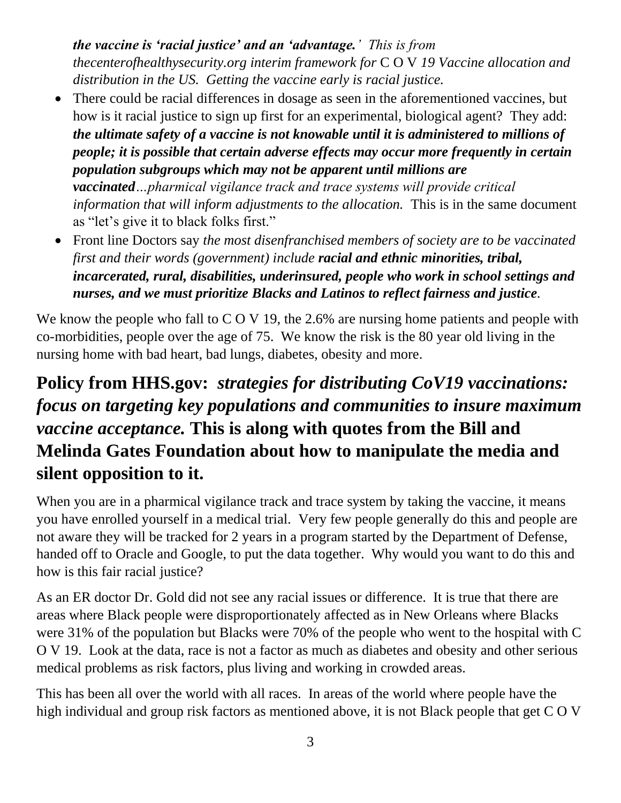*the vaccine is 'racial justice' and an 'advantage.' This is from thecenterofhealthysecurity.org interim framework for* C O V *19 Vaccine allocation and distribution in the US. Getting the vaccine early is racial justice.*

- There could be racial differences in dosage as seen in the aforementioned vaccines, but how is it racial justice to sign up first for an experimental, biological agent? They add: *the ultimate safety of a vaccine is not knowable until it is administered to millions of people; it is possible that certain adverse effects may occur more frequently in certain population subgroups which may not be apparent until millions are vaccinated…pharmical vigilance track and trace systems will provide critical information that will inform adjustments to the allocation.* This is in the same document as "let's give it to black folks first."
- Front line Doctors say *the most disenfranchised members of society are to be vaccinated first and their words (government) include racial and ethnic minorities, tribal, incarcerated, rural, disabilities, underinsured, people who work in school settings and nurses, and we must prioritize Blacks and Latinos to reflect fairness and justice.*

We know the people who fall to C O V 19, the 2.6% are nursing home patients and people with co-morbidities, people over the age of 75. We know the risk is the 80 year old living in the nursing home with bad heart, bad lungs, diabetes, obesity and more.

#### **Policy from HHS.gov:** *strategies for distributing CoV19 vaccinations: focus on targeting key populations and communities to insure maximum vaccine acceptance.* **This is along with quotes from the Bill and Melinda Gates Foundation about how to manipulate the media and silent opposition to it.**

When you are in a pharmical vigilance track and trace system by taking the vaccine, it means you have enrolled yourself in a medical trial. Very few people generally do this and people are not aware they will be tracked for 2 years in a program started by the Department of Defense, handed off to Oracle and Google, to put the data together. Why would you want to do this and how is this fair racial justice?

As an ER doctor Dr. Gold did not see any racial issues or difference. It is true that there are areas where Black people were disproportionately affected as in New Orleans where Blacks were 31% of the population but Blacks were 70% of the people who went to the hospital with C O V 19. Look at the data, race is not a factor as much as diabetes and obesity and other serious medical problems as risk factors, plus living and working in crowded areas.

This has been all over the world with all races. In areas of the world where people have the high individual and group risk factors as mentioned above, it is not Black people that get C O V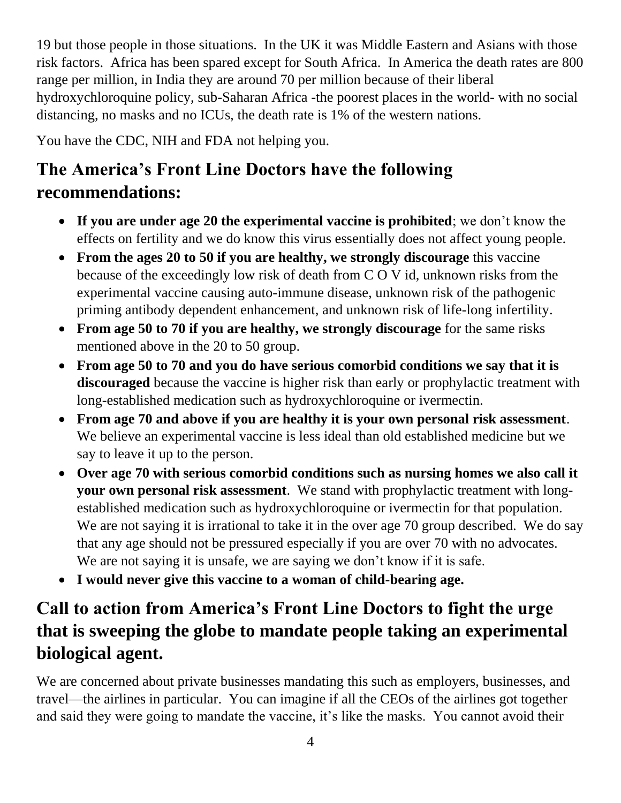19 but those people in those situations. In the UK it was Middle Eastern and Asians with those risk factors. Africa has been spared except for South Africa. In America the death rates are 800 range per million, in India they are around 70 per million because of their liberal hydroxychloroquine policy, sub-Saharan Africa -the poorest places in the world- with no social distancing, no masks and no ICUs, the death rate is 1% of the western nations.

You have the CDC, NIH and FDA not helping you.

## **The America's Front Line Doctors have the following recommendations:**

- **If you are under age 20 the experimental vaccine is prohibited**; we don't know the effects on fertility and we do know this virus essentially does not affect young people.
- **From the ages 20 to 50 if you are healthy, we strongly discourage** this vaccine because of the exceedingly low risk of death from C O V id, unknown risks from the experimental vaccine causing auto-immune disease, unknown risk of the pathogenic priming antibody dependent enhancement, and unknown risk of life-long infertility.
- **From age 50 to 70 if you are healthy, we strongly discourage** for the same risks mentioned above in the 20 to 50 group.
- **From age 50 to 70 and you do have serious comorbid conditions we say that it is discouraged** because the vaccine is higher risk than early or prophylactic treatment with long-established medication such as hydroxychloroquine or ivermectin.
- **From age 70 and above if you are healthy it is your own personal risk assessment**. We believe an experimental vaccine is less ideal than old established medicine but we say to leave it up to the person.
- **Over age 70 with serious comorbid conditions such as nursing homes we also call it your own personal risk assessment**. We stand with prophylactic treatment with longestablished medication such as hydroxychloroquine or ivermectin for that population. We are not saying it is irrational to take it in the over age 70 group described. We do say that any age should not be pressured especially if you are over 70 with no advocates. We are not saying it is unsafe, we are saying we don't know if it is safe.
- **I would never give this vaccine to a woman of child-bearing age.**

#### **Call to action from America's Front Line Doctors to fight the urge that is sweeping the globe to mandate people taking an experimental biological agent.**

We are concerned about private businesses mandating this such as employers, businesses, and travel—the airlines in particular. You can imagine if all the CEOs of the airlines got together and said they were going to mandate the vaccine, it's like the masks. You cannot avoid their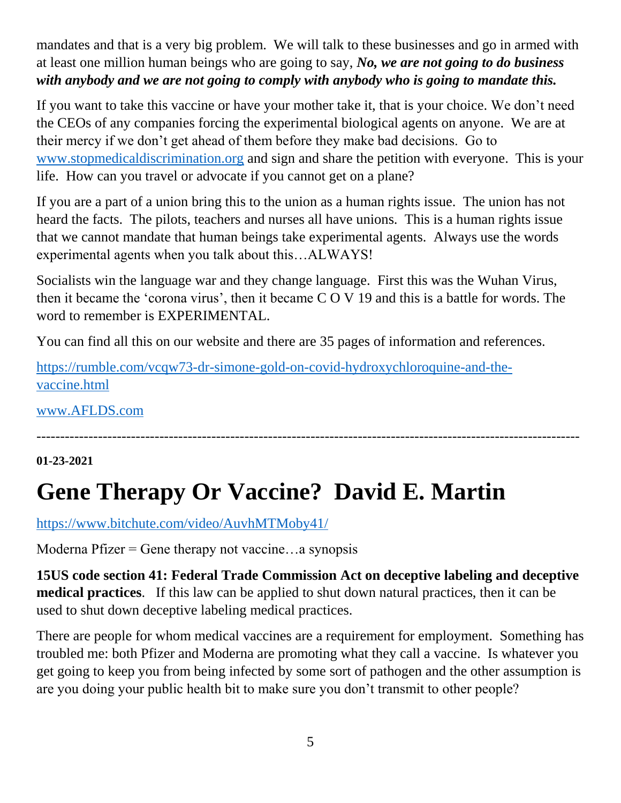mandates and that is a very big problem. We will talk to these businesses and go in armed with at least one million human beings who are going to say, *No, we are not going to do business with anybody and we are not going to comply with anybody who is going to mandate this.* 

If you want to take this vaccine or have your mother take it, that is your choice. We don't need the CEOs of any companies forcing the experimental biological agents on anyone. We are at their mercy if we don't get ahead of them before they make bad decisions. Go to [www.stopmedicaldiscrimination.org](http://www.stopmedicaldiscrimination.org/) and sign and share the petition with everyone. This is your life. How can you travel or advocate if you cannot get on a plane?

If you are a part of a union bring this to the union as a human rights issue. The union has not heard the facts. The pilots, teachers and nurses all have unions. This is a human rights issue that we cannot mandate that human beings take experimental agents. Always use the words experimental agents when you talk about this…ALWAYS!

Socialists win the language war and they change language. First this was the Wuhan Virus, then it became the 'corona virus', then it became C O V 19 and this is a battle for words. The word to remember is EXPERIMENTAL.

You can find all this on our website and there are 35 pages of information and references.

[https://rumble.com/vcqw73-dr-simone-gold-on-covid-hydroxychloroquine-and-the](https://rumble.com/vcqw73-dr-simone-gold-on-covid-hydroxychloroquine-and-the-vaccine.html)[vaccine.html](https://rumble.com/vcqw73-dr-simone-gold-on-covid-hydroxychloroquine-and-the-vaccine.html) 

[www.AFLDS.com](http://www.aflds.com/)

#### **01-23-2021**

# **Gene Therapy Or Vaccine? David E. Martin**

<https://www.bitchute.com/video/AuvhMTMoby41/>

Moderna Pfizer  $=$  Gene therapy not vaccine...a synopsis

**15US code section 41: Federal Trade Commission Act on deceptive labeling and deceptive medical practices**. If this law can be applied to shut down natural practices, then it can be used to shut down deceptive labeling medical practices.

-------------------------------------------------------------------------------------------------------------------

There are people for whom medical vaccines are a requirement for employment. Something has troubled me: both Pfizer and Moderna are promoting what they call a vaccine. Is whatever you get going to keep you from being infected by some sort of pathogen and the other assumption is are you doing your public health bit to make sure you don't transmit to other people?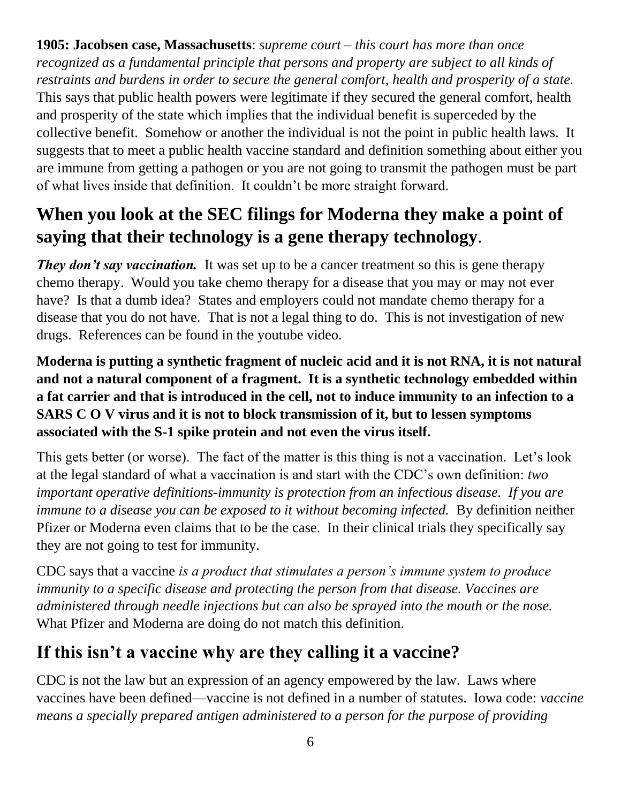**1905: Jacobsen case, Massachusetts**: *supreme court – this court has more than once recognized as a fundamental principle that persons and property are subject to all kinds of restraints and burdens in order to secure the general comfort, health and prosperity of a state.*  This says that public health powers were legitimate if they secured the general comfort, health and prosperity of the state which implies that the individual benefit is superceded by the collective benefit. Somehow or another the individual is not the point in public health laws. It suggests that to meet a public health vaccine standard and definition something about either you are immune from getting a pathogen or you are not going to transmit the pathogen must be part of what lives inside that definition. It couldn't be more straight forward.

### **When you look at the SEC filings for Moderna they make a point of saying that their technology is a gene therapy technology**.

*They don't say vaccination.* It was set up to be a cancer treatment so this is gene therapy chemo therapy. Would you take chemo therapy for a disease that you may or may not ever have? Is that a dumb idea? States and employers could not mandate chemo therapy for a disease that you do not have. That is not a legal thing to do. This is not investigation of new drugs. References can be found in the youtube video.

#### **Moderna is putting a synthetic fragment of nucleic acid and it is not RNA, it is not natural and not a natural component of a fragment. It is a synthetic technology embedded within a fat carrier and that is introduced in the cell, not to induce immunity to an infection to a SARS C O V virus and it is not to block transmission of it, but to lessen symptoms associated with the S-1 spike protein and not even the virus itself.**

This gets better (or worse). The fact of the matter is this thing is not a vaccination. Let's look at the legal standard of what a vaccination is and start with the CDC's own definition: *two important operative definitions-immunity is protection from an infectious disease. If you are immune to a disease you can be exposed to it without becoming infected.* By definition neither Pfizer or Moderna even claims that to be the case. In their clinical trials they specifically say they are not going to test for immunity.

CDC says that a vaccine *is a product that stimulates a person's immune system to produce immunity to a specific disease and protecting the person from that disease. Vaccines are administered through needle injections but can also be sprayed into the mouth or the nose.*  What Pfizer and Moderna are doing do not match this definition.

### **If this isn't a vaccine why are they calling it a vaccine?**

CDC is not the law but an expression of an agency empowered by the law. Laws where vaccines have been defined—vaccine is not defined in a number of statutes. Iowa code: *vaccine means a specially prepared antigen administered to a person for the purpose of providing*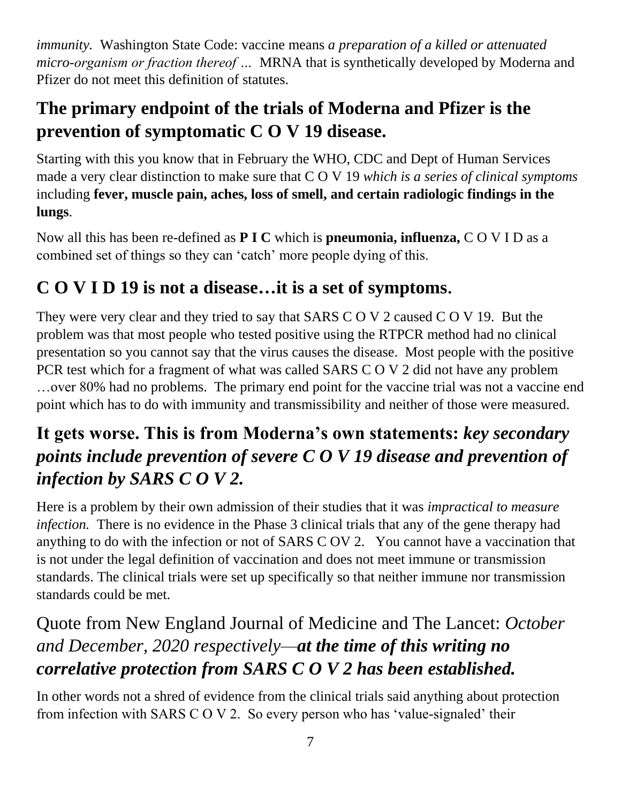*immunity.* Washington State Code: vaccine means *a preparation of a killed or attenuated micro-organism or fraction thereof …* MRNA that is synthetically developed by Moderna and Pfizer do not meet this definition of statutes.

### **The primary endpoint of the trials of Moderna and Pfizer is the prevention of symptomatic C O V 19 disease.**

Starting with this you know that in February the WHO, CDC and Dept of Human Services made a very clear distinction to make sure that C O V 19 *which is a series of clinical symptoms* including **fever, muscle pain, aches, loss of smell, and certain radiologic findings in the lungs**.

Now all this has been re-defined as **P I C** which is **pneumonia, influenza,** C O V I D as a combined set of things so they can 'catch' more people dying of this.

### **C O V I D 19 is not a disease…it is a set of symptoms**.

They were very clear and they tried to say that SARS C O V 2 caused C O V 19. But the problem was that most people who tested positive using the RTPCR method had no clinical presentation so you cannot say that the virus causes the disease. Most people with the positive PCR test which for a fragment of what was called SARS C O V 2 did not have any problem …over 80% had no problems. The primary end point for the vaccine trial was not a vaccine end point which has to do with immunity and transmissibility and neither of those were measured.

#### **It gets worse. This is from Moderna's own statements:** *key secondary points include prevention of severe C O V 19 disease and prevention of infection by SARS C O V 2.*

Here is a problem by their own admission of their studies that it was *impractical to measure infection.* There is no evidence in the Phase 3 clinical trials that any of the gene therapy had anything to do with the infection or not of SARS C OV 2. You cannot have a vaccination that is not under the legal definition of vaccination and does not meet immune or transmission standards. The clinical trials were set up specifically so that neither immune nor transmission standards could be met.

### Quote from New England Journal of Medicine and The Lancet: *October and December, 2020 respectively—at the time of this writing no correlative protection from SARS C O V 2 has been established.*

In other words not a shred of evidence from the clinical trials said anything about protection from infection with SARS C O V 2. So every person who has 'value-signaled' their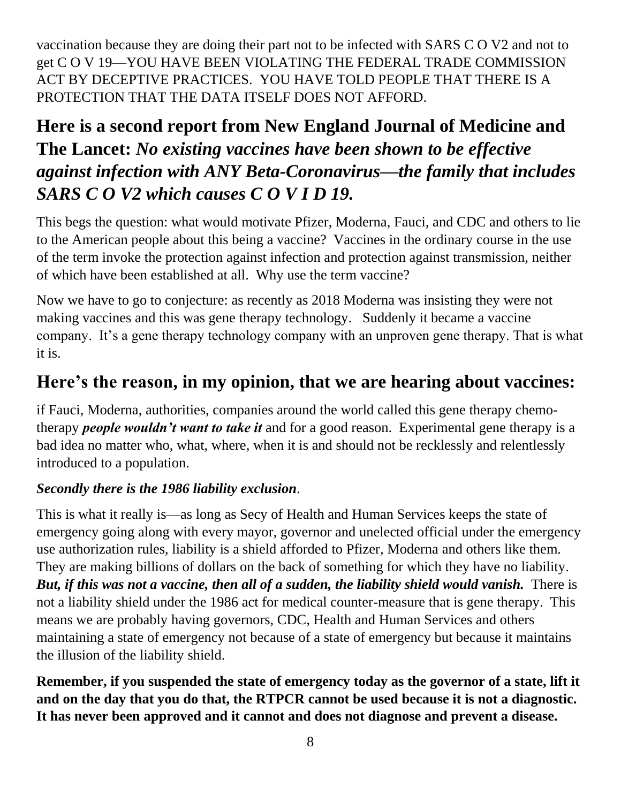vaccination because they are doing their part not to be infected with SARS C O V2 and not to get C O V 19—YOU HAVE BEEN VIOLATING THE FEDERAL TRADE COMMISSION ACT BY DECEPTIVE PRACTICES. YOU HAVE TOLD PEOPLE THAT THERE IS A PROTECTION THAT THE DATA ITSELF DOES NOT AFFORD.

#### **Here is a second report from New England Journal of Medicine and The Lancet:** *No existing vaccines have been shown to be effective against infection with ANY Beta-Coronavirus—the family that includes SARS C O V2 which causes C O V I D 19.*

This begs the question: what would motivate Pfizer, Moderna, Fauci, and CDC and others to lie to the American people about this being a vaccine? Vaccines in the ordinary course in the use of the term invoke the protection against infection and protection against transmission, neither of which have been established at all. Why use the term vaccine?

Now we have to go to conjecture: as recently as 2018 Moderna was insisting they were not making vaccines and this was gene therapy technology. Suddenly it became a vaccine company. It's a gene therapy technology company with an unproven gene therapy. That is what it is.

#### **Here's the reason, in my opinion, that we are hearing about vaccines:**

if Fauci, Moderna, authorities, companies around the world called this gene therapy chemotherapy *people wouldn't want to take it* and for a good reason. Experimental gene therapy is a bad idea no matter who, what, where, when it is and should not be recklessly and relentlessly introduced to a population.

#### *Secondly there is the 1986 liability exclusion*.

This is what it really is—as long as Secy of Health and Human Services keeps the state of emergency going along with every mayor, governor and unelected official under the emergency use authorization rules, liability is a shield afforded to Pfizer, Moderna and others like them. They are making billions of dollars on the back of something for which they have no liability. *But, if this was not a vaccine, then all of a sudden, the liability shield would vanish.* There is not a liability shield under the 1986 act for medical counter-measure that is gene therapy. This means we are probably having governors, CDC, Health and Human Services and others maintaining a state of emergency not because of a state of emergency but because it maintains the illusion of the liability shield.

**Remember, if you suspended the state of emergency today as the governor of a state, lift it and on the day that you do that, the RTPCR cannot be used because it is not a diagnostic. It has never been approved and it cannot and does not diagnose and prevent a disease.**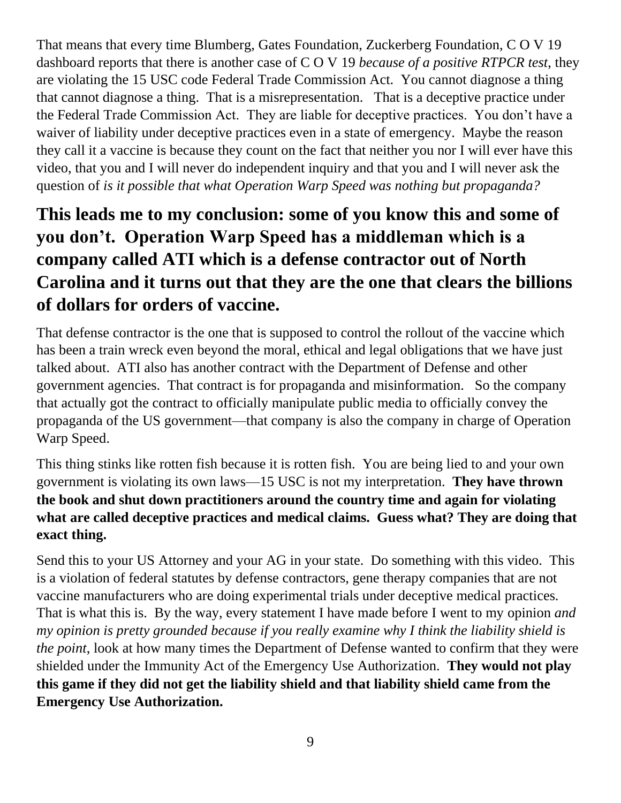That means that every time Blumberg, Gates Foundation, Zuckerberg Foundation, C O V 19 dashboard reports that there is another case of C O V 19 *because of a positive RTPCR test*, they are violating the 15 USC code Federal Trade Commission Act. You cannot diagnose a thing that cannot diagnose a thing. That is a misrepresentation. That is a deceptive practice under the Federal Trade Commission Act. They are liable for deceptive practices. You don't have a waiver of liability under deceptive practices even in a state of emergency. Maybe the reason they call it a vaccine is because they count on the fact that neither you nor I will ever have this video, that you and I will never do independent inquiry and that you and I will never ask the question of *is it possible that what Operation Warp Speed was nothing but propaganda?*

### **This leads me to my conclusion: some of you know this and some of you don't. Operation Warp Speed has a middleman which is a company called ATI which is a defense contractor out of North Carolina and it turns out that they are the one that clears the billions of dollars for orders of vaccine.**

That defense contractor is the one that is supposed to control the rollout of the vaccine which has been a train wreck even beyond the moral, ethical and legal obligations that we have just talked about. ATI also has another contract with the Department of Defense and other government agencies. That contract is for propaganda and misinformation. So the company that actually got the contract to officially manipulate public media to officially convey the propaganda of the US government—that company is also the company in charge of Operation Warp Speed.

This thing stinks like rotten fish because it is rotten fish. You are being lied to and your own government is violating its own laws—15 USC is not my interpretation. **They have thrown the book and shut down practitioners around the country time and again for violating what are called deceptive practices and medical claims. Guess what? They are doing that exact thing.**

Send this to your US Attorney and your AG in your state. Do something with this video. This is a violation of federal statutes by defense contractors, gene therapy companies that are not vaccine manufacturers who are doing experimental trials under deceptive medical practices. That is what this is. By the way, every statement I have made before I went to my opinion *and my opinion is pretty grounded because if you really examine why I think the liability shield is the point*, look at how many times the Department of Defense wanted to confirm that they were shielded under the Immunity Act of the Emergency Use Authorization. **They would not play this game if they did not get the liability shield and that liability shield came from the Emergency Use Authorization.**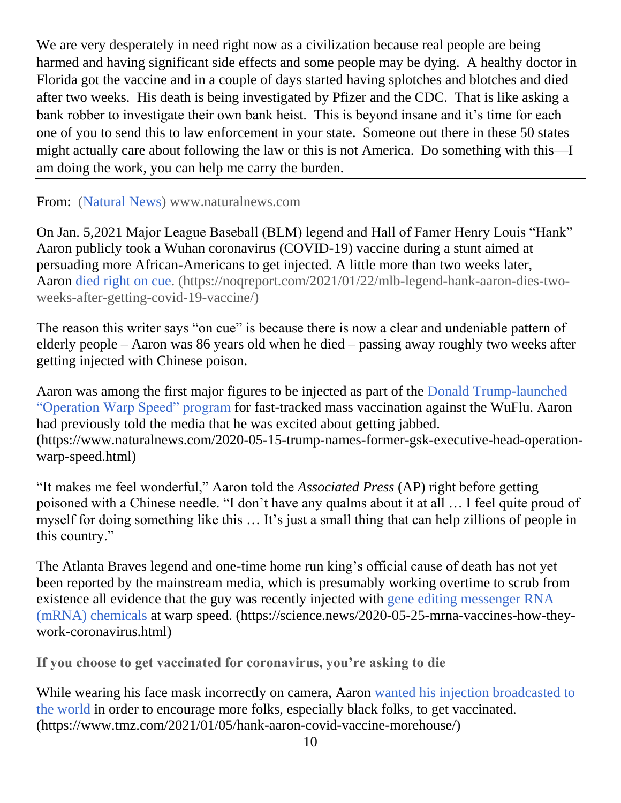We are very desperately in need right now as a civilization because real people are being harmed and having significant side effects and some people may be dying. A healthy doctor in Florida got the vaccine and in a couple of days started having splotches and blotches and died after two weeks. His death is being investigated by Pfizer and the CDC. That is like asking a bank robber to investigate their own bank heist. This is beyond insane and it's time for each one of you to send this to law enforcement in your state. Someone out there in these 50 states might actually care about following the law or this is not America. Do something with this—I am doing the work, you can help me carry the burden.

#### From: [\(Natural News\)](https://www.naturalnews.com/) www.naturalnews.com

On Jan. 5,2021 Major League Baseball (BLM) legend and Hall of Famer Henry Louis "Hank" Aaron publicly took a Wuhan coronavirus (COVID-19) vaccine during a stunt aimed at persuading more African-Americans to get injected. A little more than two weeks later, Aaron [died right on cue.](https://noqreport.com/2021/01/22/mlb-legend-hank-aaron-dies-two-weeks-after-getting-covid-19-vaccine/) (https://noqreport.com/2021/01/22/mlb-legend-hank-aaron-dies-twoweeks-after-getting-covid-19-vaccine/)

The reason this writer says "on cue" is because there is now a clear and undeniable pattern of elderly people – Aaron was 86 years old when he died – passing away roughly two weeks after getting injected with Chinese poison.

Aaron was among the first major figures to be injected as part of the [Donald Trump-launched](https://www.naturalnews.com/2020-05-15-trump-names-former-gsk-executive-head-operation-warp-speed.html)  ["Operation Warp Speed" program](https://www.naturalnews.com/2020-05-15-trump-names-former-gsk-executive-head-operation-warp-speed.html) for fast-tracked mass vaccination against the WuFlu. Aaron had previously told the media that he was excited about getting jabbed. (https://www.naturalnews.com/2020-05-15-trump-names-former-gsk-executive-head-operationwarp-speed.html)

"It makes me feel wonderful," Aaron told the *Associated Press* (AP) right before getting poisoned with a Chinese needle. "I don't have any qualms about it at all … I feel quite proud of myself for doing something like this … It's just a small thing that can help zillions of people in this country."

The Atlanta Braves legend and one-time home run king's official cause of death has not yet been reported by the mainstream media, which is presumably working overtime to scrub from existence all evidence that the guy was recently injected with [gene editing messenger RNA](https://science.news/2020-05-25-mrna-vaccines-how-they-work-coronavirus.html)  [\(mRNA\) chemicals](https://science.news/2020-05-25-mrna-vaccines-how-they-work-coronavirus.html) at warp speed. (https://science.news/2020-05-25-mrna-vaccines-how-theywork-coronavirus.html)

**If you choose to get vaccinated for coronavirus, you're asking to die**

While wearing his face mask incorrectly on camera, Aaron [wanted his injection](https://www.tmz.com/2021/01/05/hank-aaron-covid-vaccine-morehouse/) broadcasted to [the world](https://www.tmz.com/2021/01/05/hank-aaron-covid-vaccine-morehouse/) in order to encourage more folks, especially black folks, to get vaccinated. (https://www.tmz.com/2021/01/05/hank-aaron-covid-vaccine-morehouse/)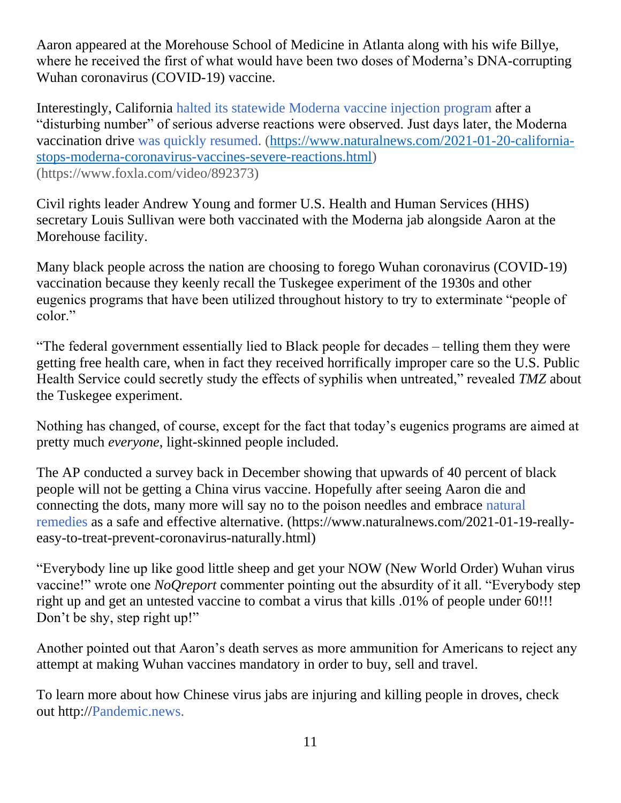Aaron appeared at the Morehouse School of Medicine in Atlanta along with his wife Billye, where he received the first of what would have been two doses of Moderna's DNA-corrupting Wuhan coronavirus (COVID-19) vaccine.

Interestingly, California [halted its statewide Moderna vaccine injection program](https://www.naturalnews.com/2021-01-20-california-stops-moderna-coronavirus-vaccines-severe-reactions.html) after a "disturbing number" of serious adverse reactions were observed. Just days later, the Moderna vaccination drive [was quickly resumed.](https://www.foxla.com/video/892373) [\(https://www.naturalnews.com/2021-01-20-california](https://www.naturalnews.com/2021-01-20-california-stops-moderna-coronavirus-vaccines-severe-reactions.html)[stops-moderna-coronavirus-vaccines-severe-reactions.html\)](https://www.naturalnews.com/2021-01-20-california-stops-moderna-coronavirus-vaccines-severe-reactions.html) (https://www.foxla.com/video/892373)

Civil rights leader Andrew Young and former U.S. Health and Human Services (HHS) secretary Louis Sullivan were both vaccinated with the Moderna jab alongside Aaron at the Morehouse facility.

Many black people across the nation are choosing to forego Wuhan coronavirus (COVID-19) vaccination because they keenly recall the Tuskegee experiment of the 1930s and other eugenics programs that have been utilized throughout history to try to exterminate "people of color."

"The federal government essentially lied to Black people for decades – telling them they were getting free health care, when in fact they received horrifically improper care so the U.S. Public Health Service could secretly study the effects of syphilis when untreated," revealed *TMZ* about the Tuskegee experiment.

Nothing has changed, of course, except for the fact that today's eugenics programs are aimed at pretty much *everyone*, light-skinned people included.

The AP conducted a survey back in December showing that upwards of 40 percent of black people will not be getting a China virus vaccine. Hopefully after seeing Aaron die and connecting the dots, many more will say no to the poison needles and embrace [natural](https://www.naturalnews.com/2021-01-19-really-easy-to-treat-prevent-coronavirus-naturally.html)  [remedies](https://www.naturalnews.com/2021-01-19-really-easy-to-treat-prevent-coronavirus-naturally.html) as a safe and effective alternative. (https://www.naturalnews.com/2021-01-19-reallyeasy-to-treat-prevent-coronavirus-naturally.html)

"Everybody line up like good little sheep and get your NOW (New World Order) Wuhan virus vaccine!" wrote one *NoQreport* commenter pointing out the absurdity of it all. "Everybody step right up and get an untested vaccine to combat a virus that kills .01% of people under 60!!! Don't be shy, step right up!"

Another pointed out that Aaron's death serves as more ammunition for Americans to reject any attempt at making Wuhan vaccines mandatory in order to buy, sell and travel.

To learn more about how Chinese virus jabs are injuring and killing people in droves, check out http:/[/Pandemic.news.](http://pandemic.news/)